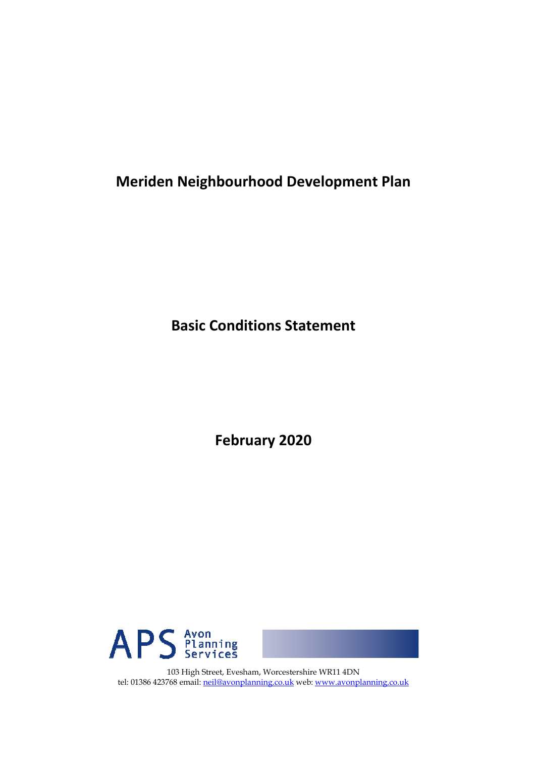**Meriden Neighbourhood Development Plan** 

**Basic Conditions Statement** 

**February 2020** 



103 High Street, Evesham, Worcestershire WR11 4DN tel: 01386 423768 email: neil@avonplanning.co.uk web: www.avonplanning.co.uk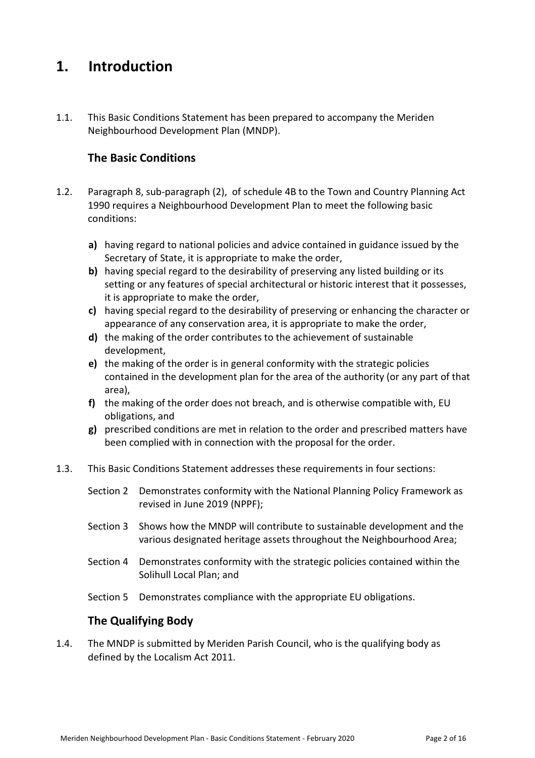# **1. Introduction**

1.1. This Basic Conditions Statement has been prepared to accompany the Meriden Neighbourhood Development Plan (MNDP).

## **The Basic Conditions**

- 1.2. Paragraph 8, sub-paragraph (2), of schedule 4B to the Town and Country Planning Act 1990 requires a Neighbourhood Development Plan to meet the following basic conditions:
	- **a)** having regard to national policies and advice contained in guidance issued by the Secretary of State, it is appropriate to make the order,
	- **b)** having special regard to the desirability of preserving any listed building or its setting or any features of special architectural or historic interest that it possesses, it is appropriate to make the order,
	- **c)** having special regard to the desirability of preserving or enhancing the character or appearance of any conservation area, it is appropriate to make the order,
	- **d)** the making of the order contributes to the achievement of sustainable development,
	- **e)** the making of the order is in general conformity with the strategic policies contained in the development plan for the area of the authority (or any part of that area),
	- **f)** the making of the order does not breach, and is otherwise compatible with, EU obligations, and
	- **g)** prescribed conditions are met in relation to the order and prescribed matters have been complied with in connection with the proposal for the order.
- 1.3. This Basic Conditions Statement addresses these requirements in four sections:
	- Section 2 Demonstrates conformity with the National Planning Policy Framework as revised in June 2019 (NPPF);
	- Section 3 Shows how the MNDP will contribute to sustainable development and the various designated heritage assets throughout the Neighbourhood Area;
	- Section 4 Demonstrates conformity with the strategic policies contained within the Solihull Local Plan; and
	- Section 5 Demonstrates compliance with the appropriate EU obligations.

### **The Qualifying Body**

1.4. The MNDP is submitted by Meriden Parish Council, who is the qualifying body as defined by the Localism Act 2011.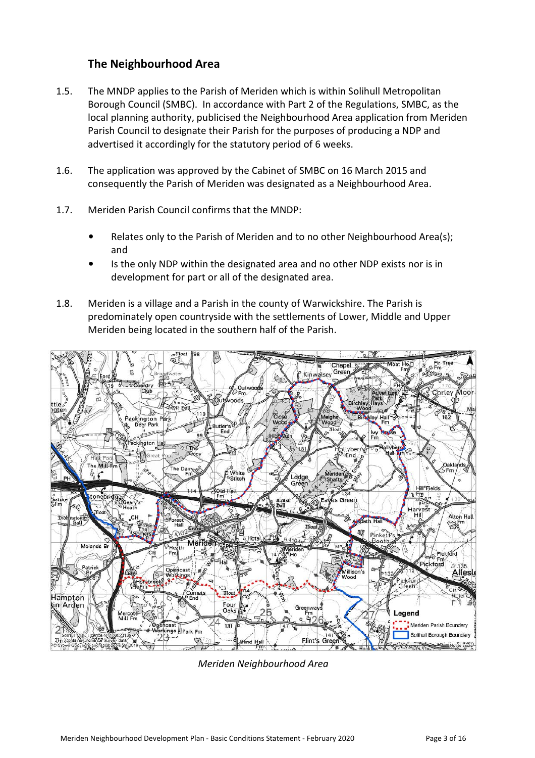### **The Neighbourhood Area**

- 1.5. The MNDP applies to the Parish of Meriden which is within Solihull Metropolitan Borough Council (SMBC). In accordance with Part 2 of the Regulations, SMBC, as the local planning authority, publicised the Neighbourhood Area application from Meriden Parish Council to designate their Parish for the purposes of producing a NDP and advertised it accordingly for the statutory period of 6 weeks.
- 1.6. The application was approved by the Cabinet of SMBC on 16 March 2015 and consequently the Parish of Meriden was designated as a Neighbourhood Area.
- 1.7. Meriden Parish Council confirms that the MNDP:
	- Relates only to the Parish of Meriden and to no other Neighbourhood Area(s); and
	- Is the only NDP within the designated area and no other NDP exists nor is in development for part or all of the designated area.
- 1.8. Meriden is a village and a Parish in the county of Warwickshire. The Parish is predominately open countryside with the settlements of Lower, Middle and Upper Meriden being located in the southern half of the Parish.



*Meriden Neighbourhood Area*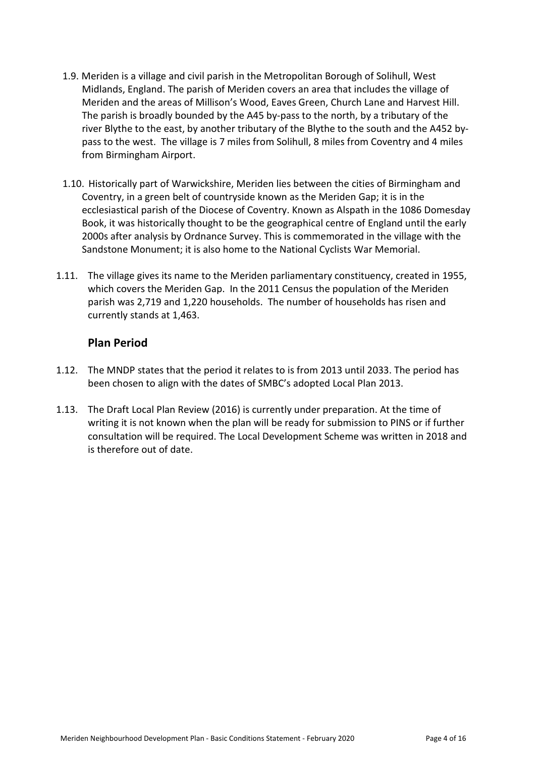- 1.9. Meriden is a village and civil parish in the Metropolitan Borough of Solihull, West Midlands, England. The parish of Meriden covers an area that includes the village of Meriden and the areas of Millison's Wood, Eaves Green, Church Lane and Harvest Hill. The parish is broadly bounded by the A45 by-pass to the north, by a tributary of the river Blythe to the east, by another tributary of the Blythe to the south and the A452 bypass to the west. The village is 7 miles from Solihull, 8 miles from Coventry and 4 miles from Birmingham Airport.
- 1.10. Historically part of Warwickshire, Meriden lies between the cities of Birmingham and Coventry, in a green belt of countryside known as the Meriden Gap; it is in the ecclesiastical parish of the Diocese of Coventry. Known as Alspath in the 1086 Domesday Book, it was historically thought to be the geographical centre of England until the early 2000s after analysis by Ordnance Survey. This is commemorated in the village with the Sandstone Monument; it is also home to the National Cyclists War Memorial.
- 1.11. The village gives its name to the Meriden parliamentary constituency, created in 1955, which covers the Meriden Gap. In the 2011 Census the population of the Meriden parish was 2,719 and 1,220 households. The number of households has risen and currently stands at 1,463.

#### **Plan Period**

- 1.12. The MNDP states that the period it relates to is from 2013 until 2033. The period has been chosen to align with the dates of SMBC's adopted Local Plan 2013.
- 1.13. The Draft Local Plan Review (2016) is currently under preparation. At the time of writing it is not known when the plan will be ready for submission to PINS or if further consultation will be required. The Local Development Scheme was written in 2018 and is therefore out of date.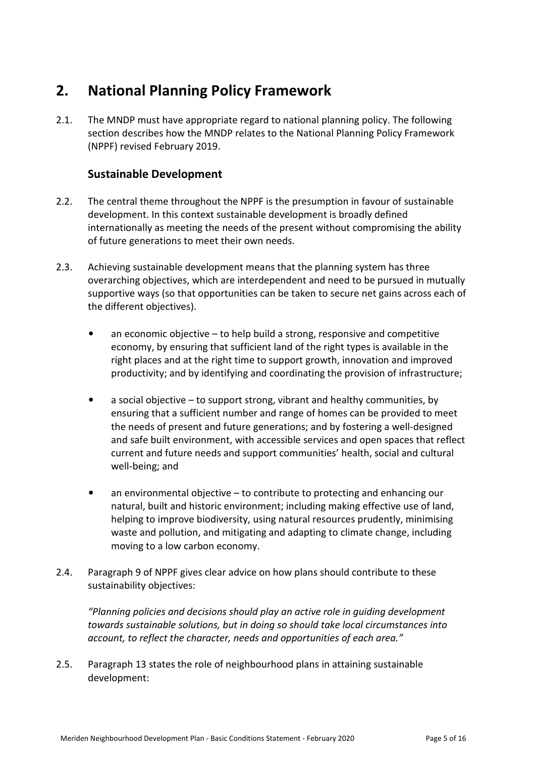# **2. National Planning Policy Framework**

2.1. The MNDP must have appropriate regard to national planning policy. The following section describes how the MNDP relates to the National Planning Policy Framework (NPPF) revised February 2019.

# **Sustainable Development**

- 2.2. The central theme throughout the NPPF is the presumption in favour of sustainable development. In this context sustainable development is broadly defined internationally as meeting the needs of the present without compromising the ability of future generations to meet their own needs.
- 2.3. Achieving sustainable development means that the planning system has three overarching objectives, which are interdependent and need to be pursued in mutually supportive ways (so that opportunities can be taken to secure net gains across each of the different objectives).
	- an economic objective to help build a strong, responsive and competitive economy, by ensuring that sufficient land of the right types is available in the right places and at the right time to support growth, innovation and improved productivity; and by identifying and coordinating the provision of infrastructure;
	- a social objective to support strong, vibrant and healthy communities, by ensuring that a sufficient number and range of homes can be provided to meet the needs of present and future generations; and by fostering a well-designed and safe built environment, with accessible services and open spaces that reflect current and future needs and support communities' health, social and cultural well-being; and
	- an environmental objective to contribute to protecting and enhancing our natural, built and historic environment; including making effective use of land, helping to improve biodiversity, using natural resources prudently, minimising waste and pollution, and mitigating and adapting to climate change, including moving to a low carbon economy.
- 2.4. Paragraph 9 of NPPF gives clear advice on how plans should contribute to these sustainability objectives:

*"Planning policies and decisions should play an active role in guiding development towards sustainable solutions, but in doing so should take local circumstances into account, to reflect the character, needs and opportunities of each area."* 

2.5. Paragraph 13 states the role of neighbourhood plans in attaining sustainable development: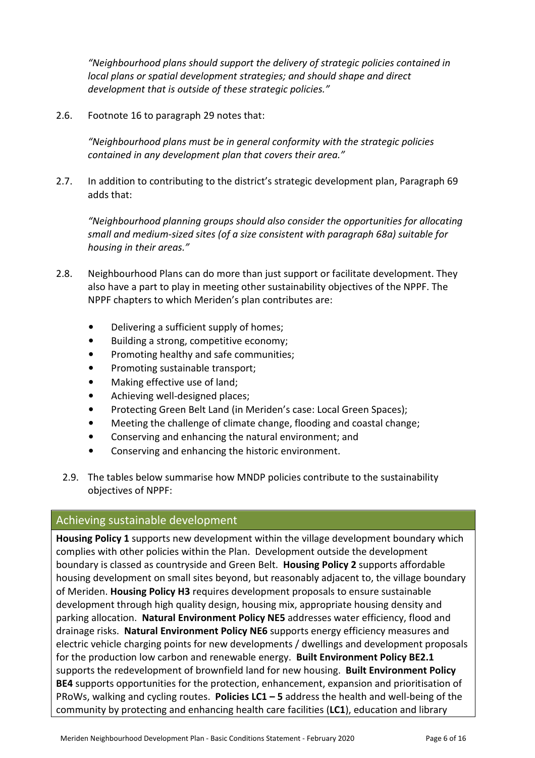*"Neighbourhood plans should support the delivery of strategic policies contained in local plans or spatial development strategies; and should shape and direct development that is outside of these strategic policies."* 

2.6. Footnote 16 to paragraph 29 notes that:

*"Neighbourhood plans must be in general conformity with the strategic policies contained in any development plan that covers their area."* 

2.7. In addition to contributing to the district's strategic development plan, Paragraph 69 adds that:

*"Neighbourhood planning groups should also consider the opportunities for allocating small and medium-sized sites (of a size consistent with paragraph 68a) suitable for housing in their areas."* 

- 2.8. Neighbourhood Plans can do more than just support or facilitate development. They also have a part to play in meeting other sustainability objectives of the NPPF. The NPPF chapters to which Meriden's plan contributes are:
	- Delivering a sufficient supply of homes;
	- Building a strong, competitive economy;
	- Promoting healthy and safe communities;
	- Promoting sustainable transport;
	- Making effective use of land;
	- Achieving well-designed places;
	- Protecting Green Belt Land (in Meriden's case: Local Green Spaces);
	- Meeting the challenge of climate change, flooding and coastal change;
	- Conserving and enhancing the natural environment; and
	- Conserving and enhancing the historic environment.
	- 2.9. The tables below summarise how MNDP policies contribute to the sustainability objectives of NPPF:

#### Achieving sustainable development

**Housing Policy 1** supports new development within the village development boundary which complies with other policies within the Plan. Development outside the development boundary is classed as countryside and Green Belt. **Housing Policy 2** supports affordable housing development on small sites beyond, but reasonably adjacent to, the village boundary of Meriden. **Housing Policy H3** requires development proposals to ensure sustainable development through high quality design, housing mix, appropriate housing density and parking allocation. **Natural Environment Policy NE5** addresses water efficiency, flood and drainage risks. **Natural Environment Policy NE6** supports energy efficiency measures and electric vehicle charging points for new developments / dwellings and development proposals for the production low carbon and renewable energy. **Built Environment Policy BE2.1** supports the redevelopment of brownfield land for new housing. **Built Environment Policy BE4** supports opportunities for the protection, enhancement, expansion and prioritisation of PRoWs, walking and cycling routes. **Policies LC1 – 5** address the health and well-being of the community by protecting and enhancing health care facilities (**LC1**), education and library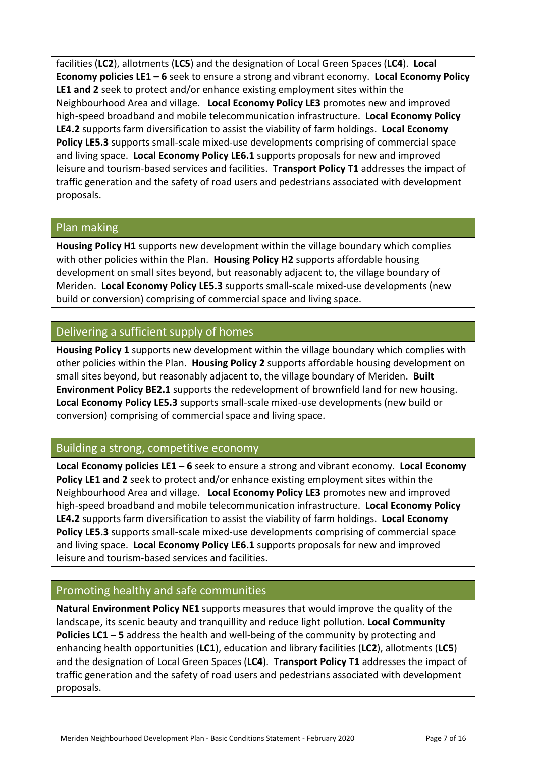facilities (**LC2**), allotments (**LC5**) and the designation of Local Green Spaces (**LC4**). **Local Economy policies LE1 – 6** seek to ensure a strong and vibrant economy. **Local Economy Policy LE1 and 2** seek to protect and/or enhance existing employment sites within the Neighbourhood Area and village. **Local Economy Policy LE3** promotes new and improved high-speed broadband and mobile telecommunication infrastructure. **Local Economy Policy LE4.2** supports farm diversification to assist the viability of farm holdings. **Local Economy Policy LE5.3** supports small-scale mixed-use developments comprising of commercial space and living space. **Local Economy Policy LE6.1** supports proposals for new and improved leisure and tourism-based services and facilities. **Transport Policy T1** addresses the impact of traffic generation and the safety of road users and pedestrians associated with development proposals.

#### Plan making

**Housing Policy H1** supports new development within the village boundary which complies with other policies within the Plan. **Housing Policy H2** supports affordable housing development on small sites beyond, but reasonably adjacent to, the village boundary of Meriden. **Local Economy Policy LE5.3** supports small-scale mixed-use developments (new build or conversion) comprising of commercial space and living space.

### Delivering a sufficient supply of homes

**Housing Policy 1** supports new development within the village boundary which complies with other policies within the Plan. **Housing Policy 2** supports affordable housing development on small sites beyond, but reasonably adjacent to, the village boundary of Meriden. **Built Environment Policy BE2.1** supports the redevelopment of brownfield land for new housing. **Local Economy Policy LE5.3** supports small-scale mixed-use developments (new build or conversion) comprising of commercial space and living space.

### Building a strong, competitive economy

**Local Economy policies LE1 – 6** seek to ensure a strong and vibrant economy. **Local Economy Policy LE1 and 2** seek to protect and/or enhance existing employment sites within the Neighbourhood Area and village. **Local Economy Policy LE3** promotes new and improved high-speed broadband and mobile telecommunication infrastructure. **Local Economy Policy LE4.2** supports farm diversification to assist the viability of farm holdings. **Local Economy Policy LE5.3** supports small-scale mixed-use developments comprising of commercial space and living space. **Local Economy Policy LE6.1** supports proposals for new and improved leisure and tourism-based services and facilities.

#### Promoting healthy and safe communities

**Natural Environment Policy NE1** supports measures that would improve the quality of the landscape, its scenic beauty and tranquillity and reduce light pollution. **Local Community Policies LC1 – 5** address the health and well-being of the community by protecting and enhancing health opportunities (**LC1**), education and library facilities (**LC2**), allotments (**LC5**) and the designation of Local Green Spaces (**LC4**). **Transport Policy T1** addresses the impact of traffic generation and the safety of road users and pedestrians associated with development proposals.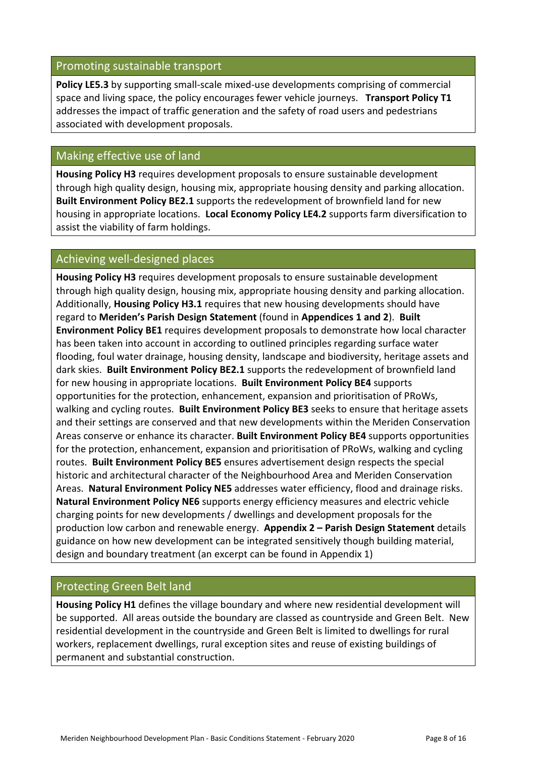#### Promoting sustainable transport

**Policy LE5.3** by supporting small-scale mixed-use developments comprising of commercial space and living space, the policy encourages fewer vehicle journeys. **Transport Policy T1** addresses the impact of traffic generation and the safety of road users and pedestrians associated with development proposals.

### Making effective use of land

**Housing Policy H3** requires development proposals to ensure sustainable development through high quality design, housing mix, appropriate housing density and parking allocation. **Built Environment Policy BE2.1** supports the redevelopment of brownfield land for new housing in appropriate locations. **Local Economy Policy LE4.2** supports farm diversification to assist the viability of farm holdings.

### Achieving well-designed places

**Housing Policy H3** requires development proposals to ensure sustainable development through high quality design, housing mix, appropriate housing density and parking allocation. Additionally, **Housing Policy H3.1** requires that new housing developments should have regard to **Meriden's Parish Design Statement** (found in **Appendices 1 and 2**). **Built Environment Policy BE1** requires development proposals to demonstrate how local character has been taken into account in according to outlined principles regarding surface water flooding, foul water drainage, housing density, landscape and biodiversity, heritage assets and dark skies. **Built Environment Policy BE2.1** supports the redevelopment of brownfield land for new housing in appropriate locations. **Built Environment Policy BE4** supports opportunities for the protection, enhancement, expansion and prioritisation of PRoWs, walking and cycling routes. **Built Environment Policy BE3** seeks to ensure that heritage assets and their settings are conserved and that new developments within the Meriden Conservation Areas conserve or enhance its character. **Built Environment Policy BE4** supports opportunities for the protection, enhancement, expansion and prioritisation of PRoWs, walking and cycling routes. **Built Environment Policy BE5** ensures advertisement design respects the special historic and architectural character of the Neighbourhood Area and Meriden Conservation Areas. **Natural Environment Policy NE5** addresses water efficiency, flood and drainage risks. **Natural Environment Policy NE6** supports energy efficiency measures and electric vehicle charging points for new developments / dwellings and development proposals for the production low carbon and renewable energy. **Appendix 2 – Parish Design Statement** details guidance on how new development can be integrated sensitively though building material, design and boundary treatment (an excerpt can be found in Appendix 1)

### Protecting Green Belt land

**Housing Policy H1** defines the village boundary and where new residential development will be supported. All areas outside the boundary are classed as countryside and Green Belt. New residential development in the countryside and Green Belt is limited to dwellings for rural workers, replacement dwellings, rural exception sites and reuse of existing buildings of permanent and substantial construction.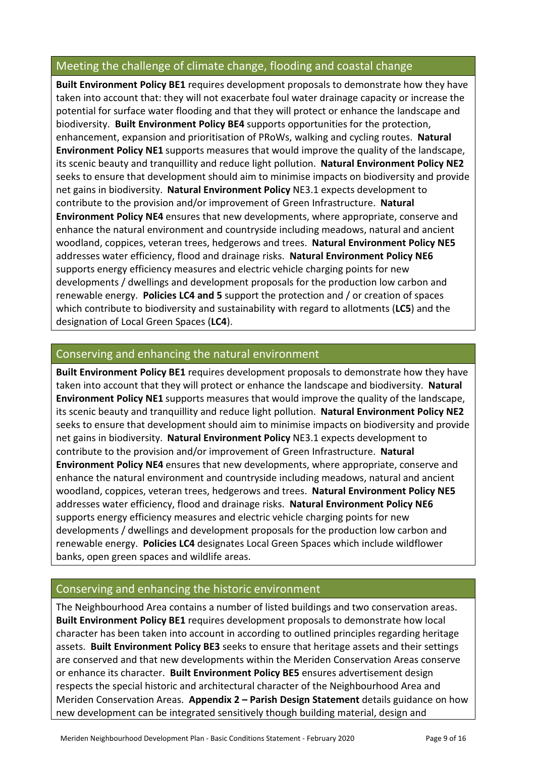# Meeting the challenge of climate change, flooding and coastal change

**Built Environment Policy BE1** requires development proposals to demonstrate how they have taken into account that: they will not exacerbate foul water drainage capacity or increase the potential for surface water flooding and that they will protect or enhance the landscape and biodiversity. **Built Environment Policy BE4** supports opportunities for the protection, enhancement, expansion and prioritisation of PRoWs, walking and cycling routes. **Natural Environment Policy NE1** supports measures that would improve the quality of the landscape, its scenic beauty and tranquillity and reduce light pollution. **Natural Environment Policy NE2**  seeks to ensure that development should aim to minimise impacts on biodiversity and provide net gains in biodiversity. **Natural Environment Policy** NE3.1 expects development to contribute to the provision and/or improvement of Green Infrastructure. **Natural Environment Policy NE4** ensures that new developments, where appropriate, conserve and enhance the natural environment and countryside including meadows, natural and ancient woodland, coppices, veteran trees, hedgerows and trees. **Natural Environment Policy NE5**  addresses water efficiency, flood and drainage risks. **Natural Environment Policy NE6** supports energy efficiency measures and electric vehicle charging points for new developments / dwellings and development proposals for the production low carbon and renewable energy. **Policies LC4 and 5** support the protection and / or creation of spaces which contribute to biodiversity and sustainability with regard to allotments (**LC5**) and the designation of Local Green Spaces (**LC4**).

### Conserving and enhancing the natural environment

**Built Environment Policy BE1** requires development proposals to demonstrate how they have taken into account that they will protect or enhance the landscape and biodiversity. **Natural Environment Policy NE1** supports measures that would improve the quality of the landscape, its scenic beauty and tranquillity and reduce light pollution. **Natural Environment Policy NE2**  seeks to ensure that development should aim to minimise impacts on biodiversity and provide net gains in biodiversity. **Natural Environment Policy** NE3.1 expects development to contribute to the provision and/or improvement of Green Infrastructure. **Natural Environment Policy NE4** ensures that new developments, where appropriate, conserve and enhance the natural environment and countryside including meadows, natural and ancient woodland, coppices, veteran trees, hedgerows and trees. **Natural Environment Policy NE5**  addresses water efficiency, flood and drainage risks. **Natural Environment Policy NE6** supports energy efficiency measures and electric vehicle charging points for new developments / dwellings and development proposals for the production low carbon and renewable energy. **Policies LC4** designates Local Green Spaces which include wildflower banks, open green spaces and wildlife areas.

### Conserving and enhancing the historic environment

The Neighbourhood Area contains a number of listed buildings and two conservation areas. **Built Environment Policy BE1** requires development proposals to demonstrate how local character has been taken into account in according to outlined principles regarding heritage assets. **Built Environment Policy BE3** seeks to ensure that heritage assets and their settings are conserved and that new developments within the Meriden Conservation Areas conserve or enhance its character. **Built Environment Policy BE5** ensures advertisement design respects the special historic and architectural character of the Neighbourhood Area and Meriden Conservation Areas. **Appendix 2 – Parish Design Statement** details guidance on how new development can be integrated sensitively though building material, design and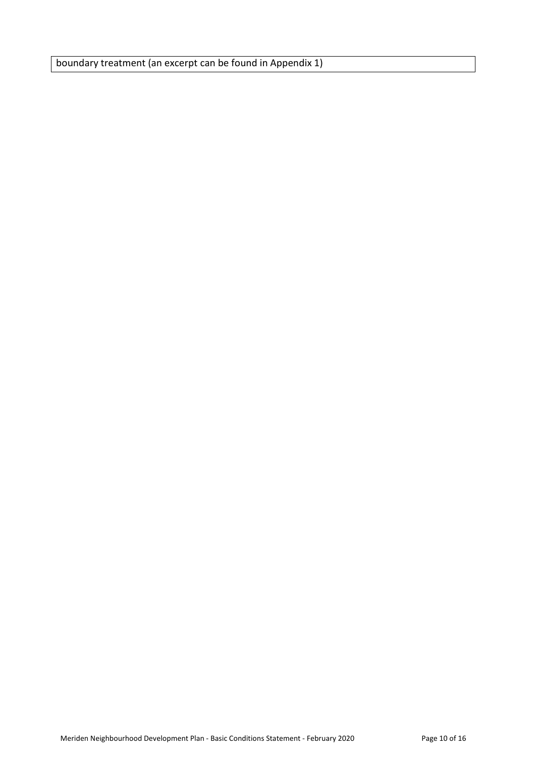boundary treatment (an excerpt can be found in Appendix 1)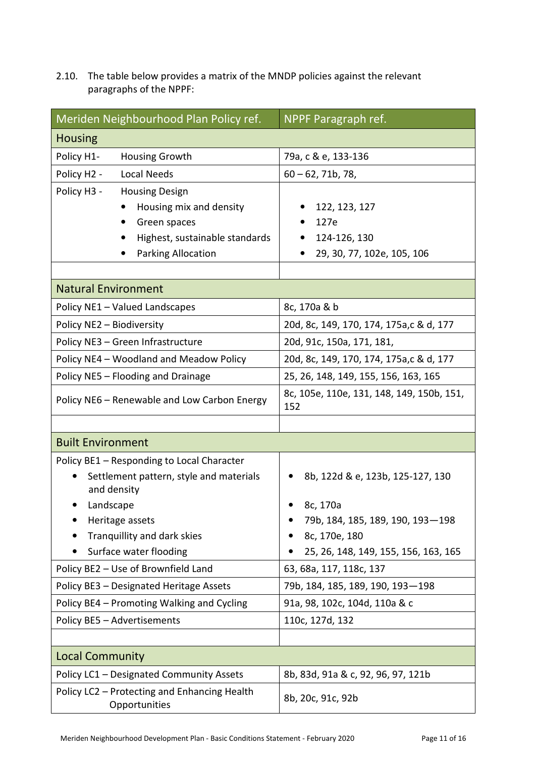2.10. The table below provides a matrix of the MNDP policies against the relevant paragraphs of the NPPF:

| Meriden Neighbourhood Plan Policy ref.                              | NPPF Paragraph ref.                              |  |
|---------------------------------------------------------------------|--------------------------------------------------|--|
| <b>Housing</b>                                                      |                                                  |  |
| Policy H1-<br>Housing Growth                                        | 79a, c & e, 133-136                              |  |
| Policy H2 -<br><b>Local Needs</b>                                   | $60 - 62$ , 71b, 78,                             |  |
| Policy H3 -<br><b>Housing Design</b>                                |                                                  |  |
| Housing mix and density                                             | 122, 123, 127                                    |  |
| Green spaces                                                        | 127e                                             |  |
| Highest, sustainable standards                                      | 124-126, 130                                     |  |
| Parking Allocation                                                  | 29, 30, 77, 102e, 105, 106                       |  |
|                                                                     |                                                  |  |
| <b>Natural Environment</b>                                          |                                                  |  |
| Policy NE1 - Valued Landscapes                                      | 8c, 170a & b                                     |  |
| Policy NE2 - Biodiversity                                           | 20d, 8c, 149, 170, 174, 175a, c & d, 177         |  |
| Policy NE3 - Green Infrastructure                                   | 20d, 91c, 150a, 171, 181,                        |  |
| Policy NE4 - Woodland and Meadow Policy                             | 20d, 8c, 149, 170, 174, 175a, c & d, 177         |  |
| Policy NE5 - Flooding and Drainage                                  | 25, 26, 148, 149, 155, 156, 163, 165             |  |
| Policy NE6 - Renewable and Low Carbon Energy                        | 8c, 105e, 110e, 131, 148, 149, 150b, 151,<br>152 |  |
|                                                                     |                                                  |  |
| <b>Built Environment</b>                                            |                                                  |  |
| Policy BE1 - Responding to Local Character                          |                                                  |  |
| Settlement pattern, style and materials<br>$\bullet$<br>and density | 8b, 122d & e, 123b, 125-127, 130                 |  |
| Landscape                                                           | 8c, 170a                                         |  |
| Heritage assets                                                     | 79b, 184, 185, 189, 190, 193-198                 |  |
| Tranquillity and dark skies                                         | 8c, 170e, 180                                    |  |
| Surface water flooding                                              | 25, 26, 148, 149, 155, 156, 163, 165             |  |
| Policy BE2 - Use of Brownfield Land                                 | 63, 68a, 117, 118c, 137                          |  |
| Policy BE3 - Designated Heritage Assets                             | 79b, 184, 185, 189, 190, 193-198                 |  |
| Policy BE4 - Promoting Walking and Cycling                          | 91a, 98, 102c, 104d, 110a & c                    |  |
| Policy BE5 - Advertisements                                         | 110c, 127d, 132                                  |  |
|                                                                     |                                                  |  |
| <b>Local Community</b>                                              |                                                  |  |
| Policy LC1 - Designated Community Assets                            | 8b, 83d, 91a & c, 92, 96, 97, 121b               |  |
| Policy LC2 - Protecting and Enhancing Health<br>Opportunities       | 8b, 20c, 91c, 92b                                |  |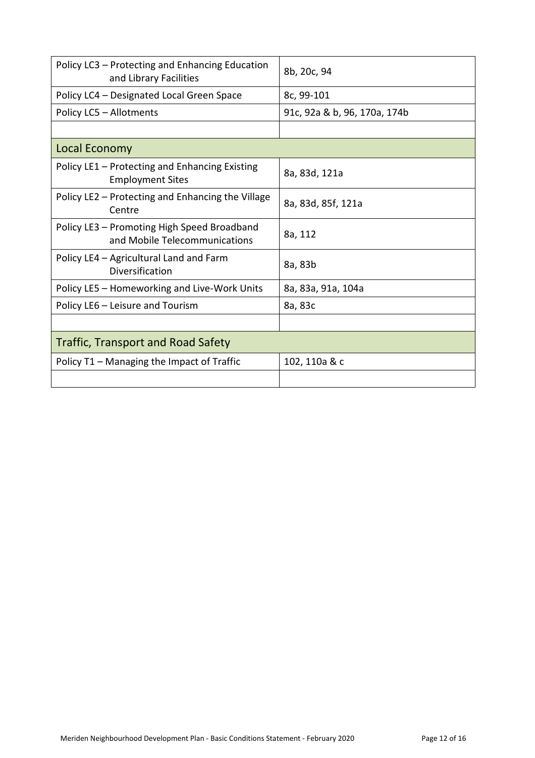| Policy LC3 - Protecting and Enhancing Education<br>and Library Facilities    | 8b, 20c, 94                  |  |  |
|------------------------------------------------------------------------------|------------------------------|--|--|
| Policy LC4 - Designated Local Green Space                                    | 8c, 99-101                   |  |  |
| Policy LC5 - Allotments                                                      | 91c, 92a & b, 96, 170a, 174b |  |  |
|                                                                              |                              |  |  |
| Local Economy                                                                |                              |  |  |
| Policy LE1 - Protecting and Enhancing Existing<br><b>Employment Sites</b>    | 8a, 83d, 121a                |  |  |
| Policy LE2 – Protecting and Enhancing the Village<br>Centre                  | 8a, 83d, 85f, 121a           |  |  |
| Policy LE3 - Promoting High Speed Broadband<br>and Mobile Telecommunications | 8a, 112                      |  |  |
| Policy LE4 - Agricultural Land and Farm<br>Diversification                   | 8a, 83b                      |  |  |
| Policy LE5 - Homeworking and Live-Work Units                                 | 8a, 83a, 91a, 104a           |  |  |
| Policy LE6 - Leisure and Tourism                                             | 8a, 83c                      |  |  |
|                                                                              |                              |  |  |
| <b>Traffic, Transport and Road Safety</b>                                    |                              |  |  |
| Policy T1 - Managing the Impact of Traffic                                   | 102, 110a & c                |  |  |
|                                                                              |                              |  |  |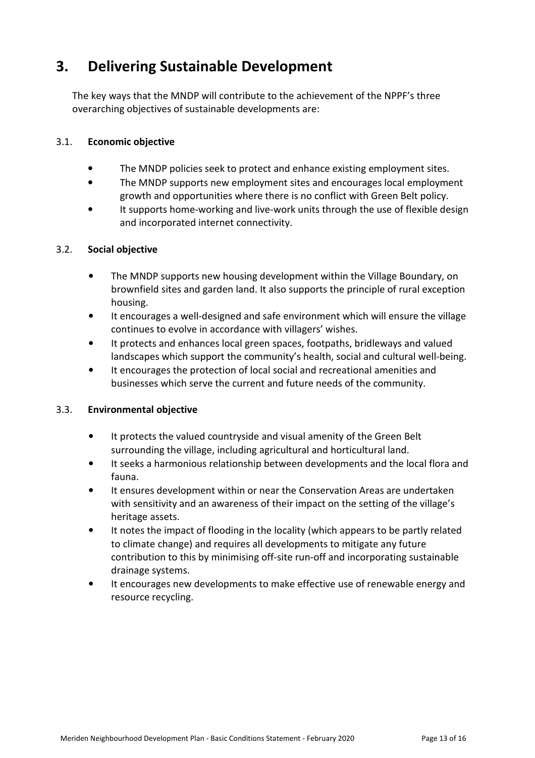# **3. Delivering Sustainable Development**

The key ways that the MNDP will contribute to the achievement of the NPPF's three overarching objectives of sustainable developments are:

#### 3.1. **Economic objective**

- The MNDP policies seek to protect and enhance existing employment sites.
- The MNDP supports new employment sites and encourages local employment growth and opportunities where there is no conflict with Green Belt policy.
- It supports home-working and live-work units through the use of flexible design and incorporated internet connectivity.

#### 3.2. **Social objective**

- The MNDP supports new housing development within the Village Boundary, on brownfield sites and garden land. It also supports the principle of rural exception housing.
- It encourages a well-designed and safe environment which will ensure the village continues to evolve in accordance with villagers' wishes.
- It protects and enhances local green spaces, footpaths, bridleways and valued landscapes which support the community's health, social and cultural well-being.
- It encourages the protection of local social and recreational amenities and businesses which serve the current and future needs of the community.

#### 3.3. **Environmental objective**

- It protects the valued countryside and visual amenity of the Green Belt surrounding the village, including agricultural and horticultural land.
- It seeks a harmonious relationship between developments and the local flora and fauna.
- It ensures development within or near the Conservation Areas are undertaken with sensitivity and an awareness of their impact on the setting of the village's heritage assets.
- It notes the impact of flooding in the locality (which appears to be partly related to climate change) and requires all developments to mitigate any future contribution to this by minimising off-site run-off and incorporating sustainable drainage systems.
- It encourages new developments to make effective use of renewable energy and resource recycling.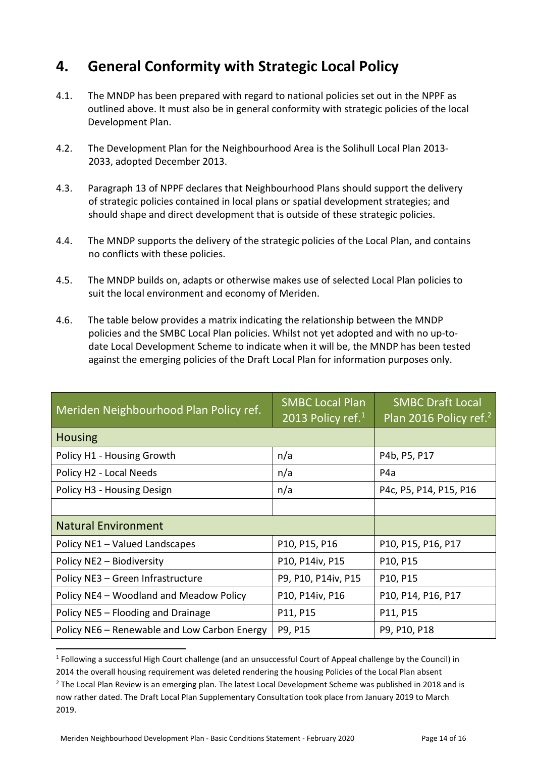# **4. General Conformity with Strategic Local Policy**

- 4.1. The MNDP has been prepared with regard to national policies set out in the NPPF as outlined above. It must also be in general conformity with strategic policies of the local Development Plan.
- 4.2. The Development Plan for the Neighbourhood Area is the Solihull Local Plan 2013- 2033, adopted December 2013.
- 4.3. Paragraph 13 of NPPF declares that Neighbourhood Plans should support the delivery of strategic policies contained in local plans or spatial development strategies; and should shape and direct development that is outside of these strategic policies.
- 4.4. The MNDP supports the delivery of the strategic policies of the Local Plan, and contains no conflicts with these policies.
- 4.5. The MNDP builds on, adapts or otherwise makes use of selected Local Plan policies to suit the local environment and economy of Meriden.
- 4.6. The table below provides a matrix indicating the relationship between the MNDP policies and the SMBC Local Plan policies. Whilst not yet adopted and with no up-todate Local Development Scheme to indicate when it will be, the MNDP has been tested against the emerging policies of the Draft Local Plan for information purposes only.

| Meriden Neighbourhood Plan Policy ref.       | <b>SMBC Local Plan</b><br>2013 Policy ref. $1$ | <b>SMBC Draft Local</b><br>Plan 2016 Policy ref. <sup>2</sup> |
|----------------------------------------------|------------------------------------------------|---------------------------------------------------------------|
| <b>Housing</b>                               |                                                |                                                               |
| Policy H1 - Housing Growth                   | n/a                                            | P4b, P5, P17                                                  |
| Policy H2 - Local Needs                      | n/a                                            | P <sub>4</sub> a                                              |
| Policy H3 - Housing Design                   | n/a                                            | P4c, P5, P14, P15, P16                                        |
|                                              |                                                |                                                               |
| <b>Natural Environment</b>                   |                                                |                                                               |
| Policy NE1 - Valued Landscapes               | P10, P15, P16                                  | P10, P15, P16, P17                                            |
| Policy NE2 - Biodiversity                    | P10, P14iv, P15                                | P10, P15                                                      |
| Policy NE3 - Green Infrastructure            | P9, P10, P14iv, P15                            | P10, P15                                                      |
| Policy NE4 - Woodland and Meadow Policy      | P10, P14iv, P16                                | P10, P14, P16, P17                                            |
| Policy NE5 - Flooding and Drainage           | P11, P15                                       | P11, P15                                                      |
| Policy NE6 – Renewable and Low Carbon Energy | P9, P15                                        | P9, P10, P18                                                  |

<sup>&</sup>lt;sup>1</sup> Following a successful High Court challenge (and an unsuccessful Court of Appeal challenge by the Council) in 2014 the overall housing requirement was deleted rendering the housing Policies of the Local Plan absent

l

<sup>&</sup>lt;sup>2</sup> The Local Plan Review is an emerging plan. The latest Local Development Scheme was published in 2018 and is now rather dated. The Draft Local Plan Supplementary Consultation took place from January 2019 to March 2019.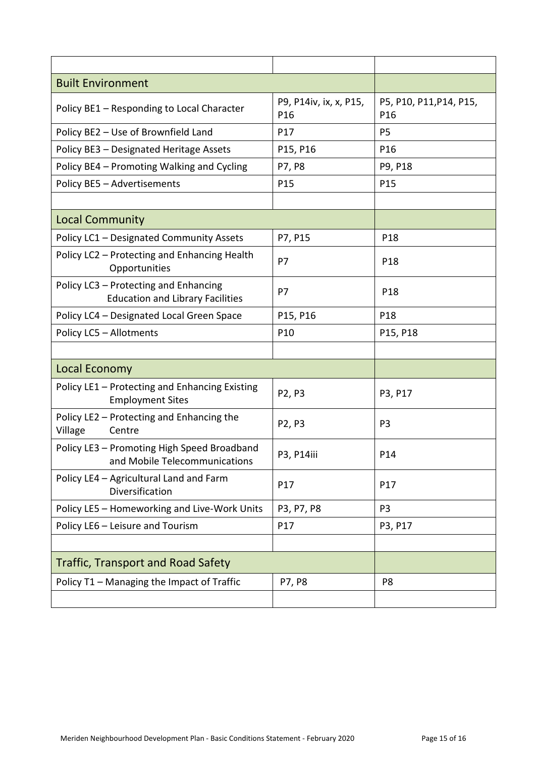| <b>Built Environment</b>                                                         |                               |                                            |
|----------------------------------------------------------------------------------|-------------------------------|--------------------------------------------|
| Policy BE1 - Responding to Local Character                                       | P9, P14iv, ix, x, P15,<br>P16 | P5, P10, P11, P14, P15,<br>P <sub>16</sub> |
| Policy BE2 - Use of Brownfield Land                                              | P17                           | P <sub>5</sub>                             |
| Policy BE3 - Designated Heritage Assets                                          | P15, P16                      | P <sub>16</sub>                            |
| Policy BE4 - Promoting Walking and Cycling                                       | P7, P8                        | P9, P18                                    |
| Policy BE5 - Advertisements                                                      | P15                           | P15                                        |
|                                                                                  |                               |                                            |
| <b>Local Community</b>                                                           |                               |                                            |
| Policy LC1 - Designated Community Assets                                         | P7, P15                       | P <sub>18</sub>                            |
| Policy LC2 - Protecting and Enhancing Health<br>Opportunities                    | P7                            | P <sub>18</sub>                            |
| Policy LC3 - Protecting and Enhancing<br><b>Education and Library Facilities</b> | P7                            | P <sub>18</sub>                            |
| Policy LC4 - Designated Local Green Space                                        | P15, P16                      | P18                                        |
| Policy LC5 - Allotments                                                          | P10                           | P15, P18                                   |
|                                                                                  |                               |                                            |
| Local Economy                                                                    |                               |                                            |
| Policy LE1 - Protecting and Enhancing Existing<br><b>Employment Sites</b>        | P2, P3                        | P3, P17                                    |
| Policy LE2 - Protecting and Enhancing the<br>Village<br>Centre                   | P2, P3                        | P <sub>3</sub>                             |
| Policy LE3 - Promoting High Speed Broadband<br>and Mobile Telecommunications     | P3, P14iii                    | P14                                        |
| Policy LE4 - Agricultural Land and Farm<br>Diversification                       | P17                           | P17                                        |
| Policy LE5 - Homeworking and Live-Work Units                                     | P3, P7, P8                    | P <sub>3</sub>                             |
| Policy LE6 - Leisure and Tourism                                                 | P17                           | P3, P17                                    |
|                                                                                  |                               |                                            |
| <b>Traffic, Transport and Road Safety</b>                                        |                               |                                            |
| Policy T1 - Managing the Impact of Traffic                                       | P7, P8                        | P <sub>8</sub>                             |
|                                                                                  |                               |                                            |